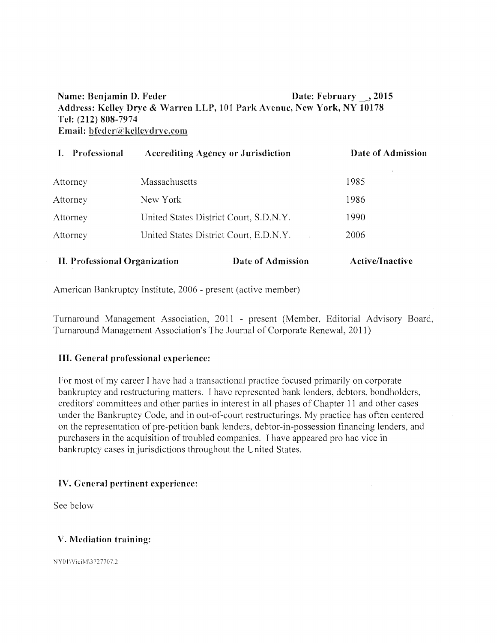# Name: Benjamin D. Feder Date: February , 2015 Address: Kelley Drye & Warren LLP, 101 Park Avenue, New York, NY 10178 Tel: (212) 808-7974 Email: hinder *a* kelleydrve.com

| Professional                  | <b>Accrediting Agency or Jurisdiction</b>                           |                   | Date of Admission |
|-------------------------------|---------------------------------------------------------------------|-------------------|-------------------|
| Attorney                      | Massachusetts<br>New York<br>United States District Court, S.D.N.Y. |                   | 1985<br>1986      |
| Attorney                      |                                                                     |                   |                   |
| Attorney                      |                                                                     |                   | 1990              |
| <b>Attorney</b>               | United States District Court, E.D.N.Y.                              |                   | 2006              |
| II. Professional Organization |                                                                     | Date of Admission | Active/Inactive   |

American Bankruptcy Institute, 2006 - present (active member)

Turnaround Management Association, 2011 - present (Member, Editorial Advisory Board, Turnaround Management Association's The Journal of Corporate Renewal, 2011)

# III. General professional experience:

For most of my career I have had a transactional practice focused primarily on corporate bankruptcy and restructuring matters. I have represented bank lenders, debtors, bondholders, creditors' committees and other parties in interest in all phases of Chapter 11 and other cases under the Bankruptcy Code, and in out-of-court restructurings. My practice has often centered on the representation of pre-petition bank lenders, debtor-in-possession financing lenders, and purchasers in the acquisition of troubled companies. I have appeared pro hac vice in bankruptcy cases in jurisdictions throughout the United States.

# IV. General pertinent experience:

See below

# V. Mediation training:

NY01\ViciM\3727707.2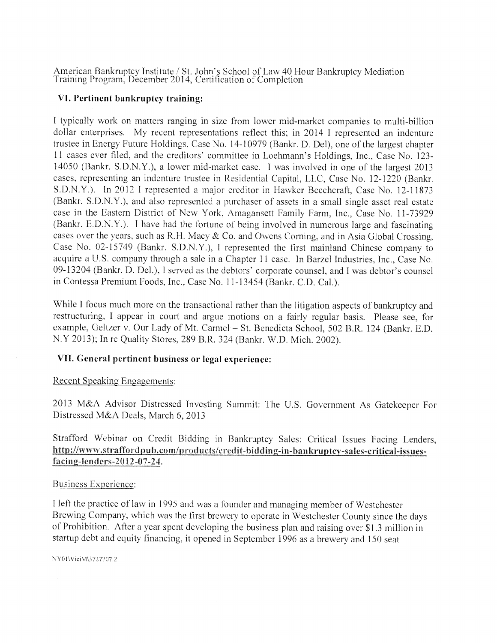American Bankruptcy Institute / St. John's School of Law 40 Hour Bankruptcy Mediation Training Program, December 2014, Certification of Completion

## VI. Pertinent bankruptcy training:

I typically work on matters ranging in size from lower mid-market companies to multi-billion dollar enterprises. My recent representations reflect this; in 2014 I represented an indenture trustee in Energy Future Holdings, Case No. 14-10979 (Bankr. D. Del), one of the largest chapter 11 cases ever filed, and the creditors' committee in Loehmann's Holdings, Inc., Case No. 123- 14050 (Bankr. S.D.N.Y.), a lower mid-market case. I was involved in one of the largest 2013 cases, representing an indenture trustee in Residential Capital, LLC, Case No. 12-1220 (Bankr. S.D.N.Y.). In 2012 I represented a major creditor in Hawker Beechcraft, Case No. 12-11873 (Bankr. S.D.N.Y.), and also represented a purchaser of assets in a small single asset real estate case in the Eastern District of New York, Amagansett Family Farm, Inc., Case No. 11-73929  $(Bankr, E.D.N.Y.)$ . I have had the fortune of being involved in numerous large and fascinating cases over the years, such as R.H. Macy & Co. and Owens Corning, and in Asia Global Crossing, Case No. 02-15749 (Bankr. S.D.N.Y.), I represented the first mainland Chinese company to acquire a U.S. company through a sale in a Chapter 11 case. In Barzel Industries, Inc., Case No. 09-13204 (Bankr. D. Del.), I served as the debtors' corporate counsel, and I was debtor's counsel in Contessa Premium Foods, Inc., Case No. 11-13454 (Bankr. C.D. Cal.).

While I focus much more on the transactional rather than the litigation aspects of bankruptcy and restructuring, I appear in court and argue motions on a fairly regular basis. Please see, for example, Geltzer v. Our Lady of Mt. Carmel — St. Benedicta School, 502 B.R. 124 (Bankr. E.D. N.Y 2013); In re Quality Stores, 289 B.R. 324 (Bankr. W.D. Mich. 2002).

# VII. General pertinent business or legal experience:

### Recent Speaking Engagements:

2013 M&A Advisor Distressed Investing Summit: The U.S. Government As Gatekeeper For Distressed M&A Deals, March 6, 2013

Strafford Webinar on Credit Bidding in Bankruptcy Sales: Critical Issues Facing Lenders, http://www.straffordpub.com/products/credit-bidding-in-bankruptcy-sales-critical-issuesfacing-lenders-2012-07-24.

### Business Experience:

I left- the practice of law in 1995 and was a founder and managing member of Westchester Brewing Company, which was the first brewery to operate in Westchester County since the days of Prohibition. After a year spent developing the business plan and raising over \$1.3 million in startup debt and equity financing, it opened in September 1996 as a brewery and 150 seat

NY01\ViciM\3727707.2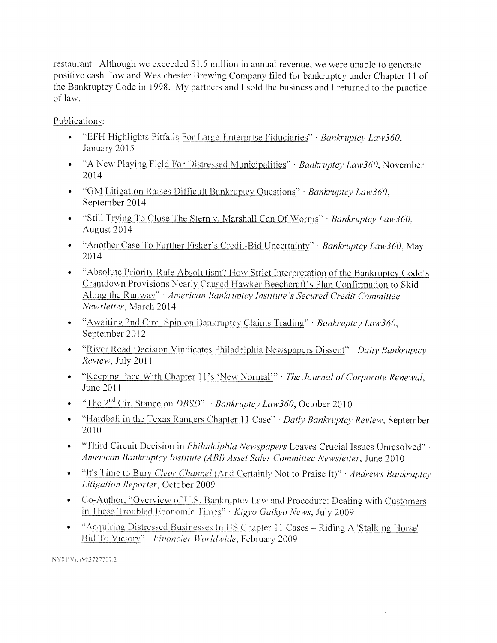restaurant. Although we exceeded \$1.5 million in annual revenue, we were unable to generate positive cash flow and Westchester Brewing Company filed for bankruptcy under Chapter 11 of the Bankruptcy Code in 1998. My partners and I sold the business and I returned to the practice of law.

Publications:

- "EFH Highlights Pitfalls For Large-Enterprise Fiduciaries" · *Bankruptcy Law360*, January 2015
- "A New Playing Field For Distressed Municipalities" *Bankruptcy Law360,* November 2014
- "GM Litigation Raises Difficult Bankruptcy Questions" *Bankruptcy Law360,*  September 2014
- "Still Trying To Close The Stern v. Marshall Can Of Worms" *Bankruptcy Law360,*  August 2014
- "Another Case To Further Fisker's Credit-Bid Uncertainty" *Bankruptcy Law360,* May 2014
- "Absolute Priority Rule Absolutism? How Strict Interpretation of the Bankruptcy Code's Cramdown Provisions Nearly Caused Hawker Beechcraft's Plan Confirmation to Skid Along the Runway" • *American Bankruptcy Institute's Secured Credit Committee Newsletter,* March 2014
- "Awaiting 2nd Circ. Spin on Bankruptcy Claims Trading" *Bankruptcy Law360,*  September 2012
- "River Road Decision Vindicates Philadelphia Newspapers Dissent" *Daily Bankruptcy Review,* July 2011
- "Keeping Pace With Chapter 11's 'New Normal'" *· The Journal of Corporate Renewal*, June 2011
- "The 2<sup>nd</sup> Cir. Stance on *DBSD" Bankruptcy Law360*, October 2010
- "Hardball in the Texas Rangers Chapter 11 Case" *Daily Bankruptcy Review,* September 2010
- "Third Circuit Decision in *Philadelphia Newspapers* Leaves Crucial Issues Unresolved" *American Bankruptcy Institute (A B1) Asset Sales Committee Newsletter,* June 2010
- "It's Time to Bury *Clear Channel* (And Certainly Not to Praise It)" *Andrews Bankruptcy Litigation Reporter,* October 2009
- Co-Author, "Overview of U.S. Bankruptcy Law and Procedure: Dealing with Customers in These Troubled Economic Times" kigvo *Gaikyo News,* July 2009
- "Acquiring Distressed Businesses In US Chapter 11 Cases Riding A 'Stalking Horse' Bid To Victory" · Financier Worldwide, February 2009

NY01\ViciM\3727707.2